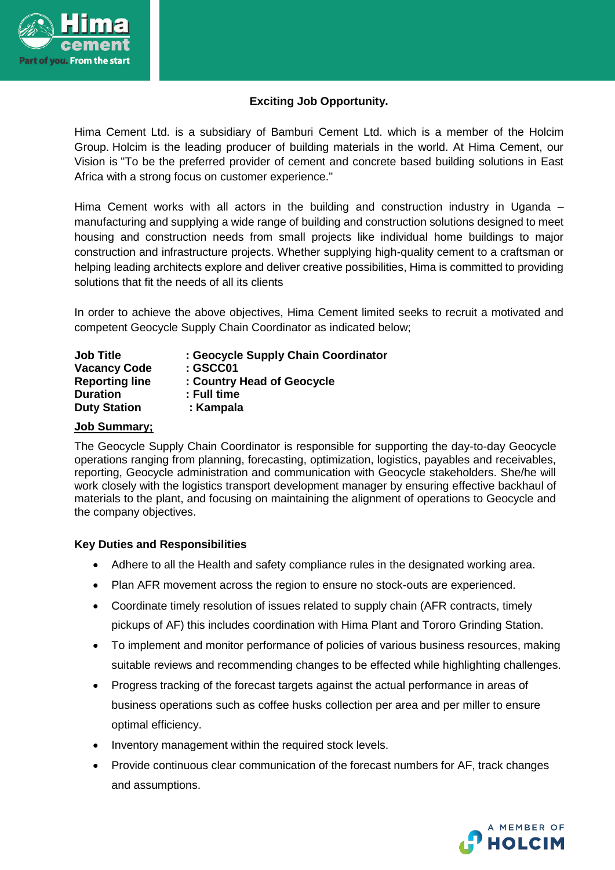

## **Exciting Job Opportunity.**

Hima Cement Ltd. is a subsidiary of Bamburi Cement Ltd. which is a member of the Holcim Group. Holcim is the leading producer of building materials in the world. At Hima Cement, our Vision is "To be the preferred provider of cement and concrete based building solutions in East Africa with a strong focus on customer experience."

Hima Cement works with all actors in the building and construction industry in Uganda – manufacturing and supplying a wide range of building and construction solutions designed to meet housing and construction needs from small projects like individual home buildings to major construction and infrastructure projects. Whether supplying high-quality cement to a craftsman or helping leading architects explore and deliver creative possibilities, Hima is committed to providing solutions that fit the needs of all its clients

In order to achieve the above objectives, Hima Cement limited seeks to recruit a motivated and competent Geocycle Supply Chain Coordinator as indicated below;

| <b>Job Title</b>      | : Geocycle Supply Chain Coordinator |
|-----------------------|-------------------------------------|
| <b>Vacancy Code</b>   | :GSCCO1                             |
| <b>Reporting line</b> | : Country Head of Geocycle          |
| <b>Duration</b>       | : Full time                         |
| <b>Duty Station</b>   | : Kampala                           |

#### **Job Summary;**

The Geocycle Supply Chain Coordinator is responsible for supporting the day-to-day Geocycle operations ranging from planning, forecasting, optimization, logistics, payables and receivables, reporting, Geocycle administration and communication with Geocycle stakeholders. She/he will work closely with the logistics transport development manager by ensuring effective backhaul of materials to the plant, and focusing on maintaining the alignment of operations to Geocycle and the company objectives.

#### **Key Duties and Responsibilities**

- Adhere to all the Health and safety compliance rules in the designated working area.
- Plan AFR movement across the region to ensure no stock-outs are experienced.
- Coordinate timely resolution of issues related to supply chain (AFR contracts, timely pickups of AF) this includes coordination with Hima Plant and Tororo Grinding Station.
- To implement and monitor performance of policies of various business resources, making suitable reviews and recommending changes to be effected while highlighting challenges.
- Progress tracking of the forecast targets against the actual performance in areas of business operations such as coffee husks collection per area and per miller to ensure optimal efficiency.
- Inventory management within the required stock levels.
- Provide continuous clear communication of the forecast numbers for AF, track changes and assumptions.

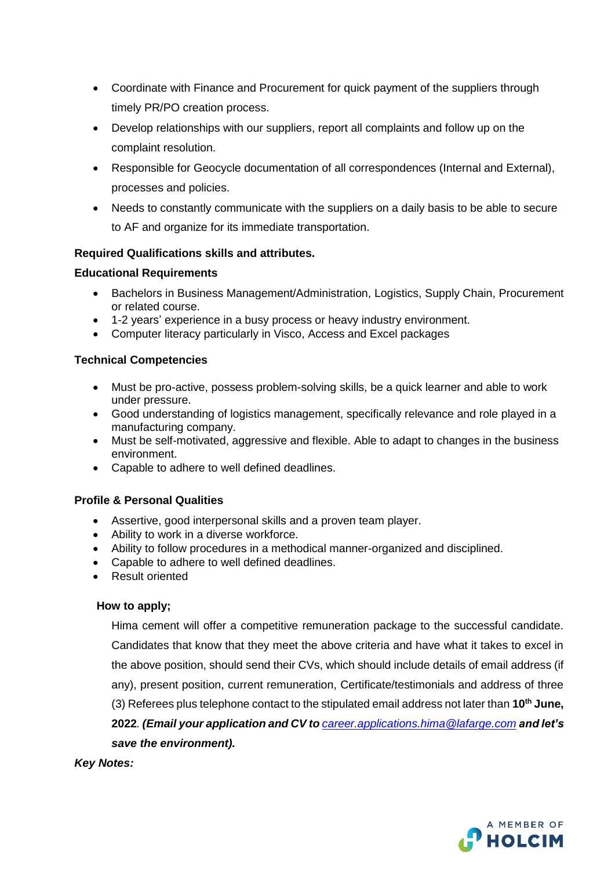- Coordinate with Finance and Procurement for quick payment of the suppliers through timely PR/PO creation process.
- Develop relationships with our suppliers, report all complaints and follow up on the complaint resolution.
- Responsible for Geocycle documentation of all correspondences (Internal and External), processes and policies.
- Needs to constantly communicate with the suppliers on a daily basis to be able to secure to AF and organize for its immediate transportation.

### **Required Qualifications skills and attributes.**

### **Educational Requirements**

- Bachelors in Business Management/Administration, Logistics, Supply Chain, Procurement or related course.
- 1-2 years' experience in a busy process or heavy industry environment.
- Computer literacy particularly in Visco, Access and Excel packages

### **Technical Competencies**

- Must be pro-active, possess problem-solving skills, be a quick learner and able to work under pressure.
- Good understanding of logistics management, specifically relevance and role played in a manufacturing company.
- Must be self-motivated, aggressive and flexible. Able to adapt to changes in the business environment.
- Capable to adhere to well defined deadlines.

# **Profile & Personal Qualities**

- Assertive, good interpersonal skills and a proven team player.
- Ability to work in a diverse workforce.
- Ability to follow procedures in a methodical manner-organized and disciplined.
- Capable to adhere to well defined deadlines.
- Result oriented

#### **How to apply;**

Hima cement will offer a competitive remuneration package to the successful candidate. Candidates that know that they meet the above criteria and have what it takes to excel in the above position, should send their CVs, which should include details of email address (if any), present position, current remuneration, Certificate/testimonials and address of three (3) Referees plus telephone contact to the stipulated email address not later than **10th June, 2022***. (Email your application and CV to [career.applications.hima@lafarge.com](mailto:career.applications.hima@lafarge.com) and let's save the environment).*

*Key Notes:*